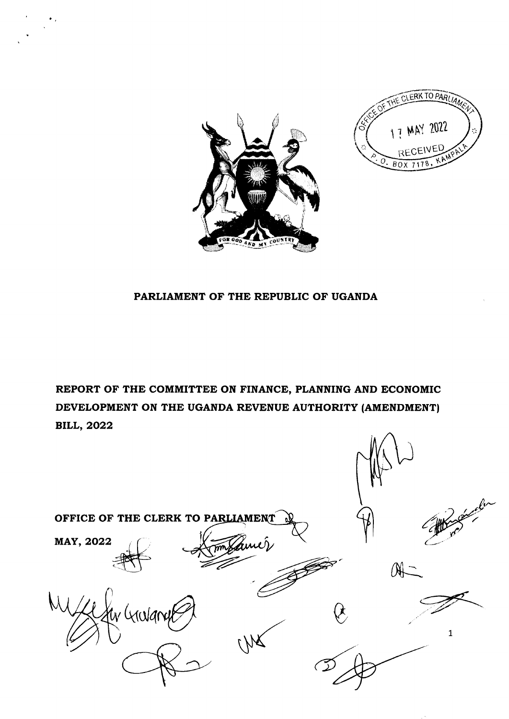

ERK TO PARITA 17 MAY 2022 **RECEIVED**  $BOX$ 

## PARLIAMENT OF THE REPUBLIC OF UGANDA

REPORT OF THE COMMITTEE ON FINANCE, PLANNING AND ECONOMIC DEVELOPMENT ON THE UGANDA REVENUE AUTHORITY (AMENDMENT) **BILL, 2022** 

| OFFICE OF THE CLERK TO PARLIAMENT<br>MAY, 2022<br>mydemer | Jacobu       |
|-----------------------------------------------------------|--------------|
|                                                           | $M^-$        |
|                                                           | $\mathbf{1}$ |
|                                                           |              |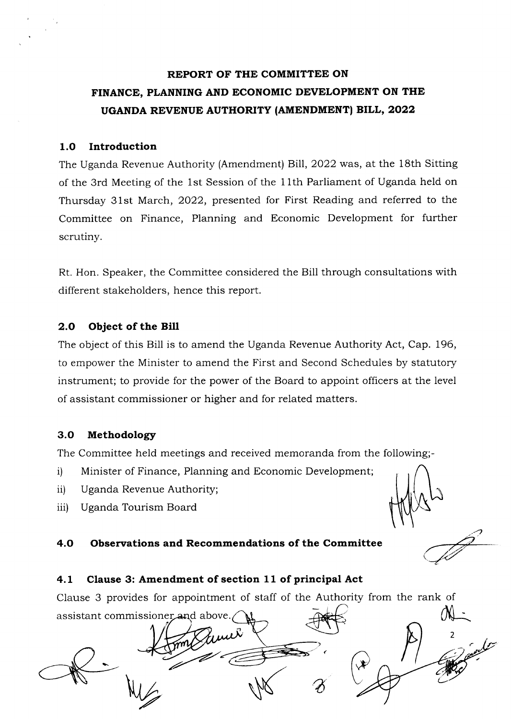# REPORT OF THE COMMITTEE ON FINANCE, PLANNING AND ECONOMIC DEVELOPMENT ON THE UGANDA REVENUE AUTHORITY (AMENDMENT) BILL, 2022

## 1.O Introduction

The Uganda Revenue Authority (Amendment) Blll,2022 was, at the 18th Sitting of the 3rd Meeting of the 1st Session of the 11th Parliament of Uganda held on Thursday 31st March,2022, presented for First Reading and referred to the Committee on Finance, Planning and Economic Development for further scrutiny.

Rt. Hon. Speaker, the Committee considered the Bill through consultations with different stakeholders, hence this report.

## 2.O Object of the Bill

The object of this Bill is to amend the Uganda Revenue Authority Act, Cap. 196, to empower the Minister to amend the First and Second Schedules by statutory instrument; to provide for the power of the Board to appoint officers at the level of assistant commissioner or higher and for related matters.

## 3.O Methodology

The Committee held meetings and received memoranda from the following;-

- i) Minister of Finance, Planning and Economic Development;
- ii) Uganda Revenue Authority;
- iii) Uganda Tourism Board

## 4.O Obsenrations and Recommendations of the Committee

## 4.L Clause 3: Amendment of section 11 of principal Act

Clause 3 provides for appointment of staff of the Authority from the rank of

assistant commissioner and above.  $\overline{A}$  are  $\overline{A}$  $\int\!\!\!\!\!\!\int\limits_{-\infty}^{\infty}$ 2  $\gamma$  ( $\frac{1}{2}$ s W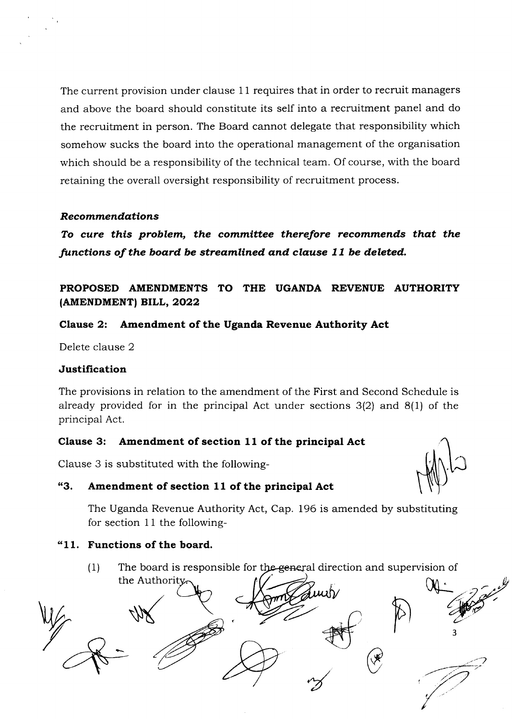The current provision under clause 11 requires that in order to recruit managers and above the board should constitute its self into a recruitment panel and do the recruitment in person. The Board cannot delegate that responsibility which somehow sucks the board into the operational management of the organisation which should be a responsibility of the technical team. Of course, with the board retaining the overall oversight responsibility of recruitment process.

## Recommendations

To cure this problem, the committee therefore recommends that the functions of the board be streamlined and clause  $11$  be deleted.

## PROPOSED AMENDMENTS TO THE UGANDA REVENUE AUTHORITY (AMENDMENT) BILL, 2022

## Clause 2: Amendment of the Uganda Revenue Authority Act

Delete clause 2

## Justification

The provisions in relation to the amendment of the First and Second Schedule is already provided for in the principal Act under sections 3(2) and 8(1) of the principal Act.

## Clause 3: Amendment of section 11 of the principal Act

Clause 3 is substituted with the following-

## "3. Amendment of section 11 of the principal Act

The Uganda Revenue Authority Act, Cap. 196 is amended by substituting for section 11 the following-

## \*11. Functions of the board.

(1) The board is responsible for the general direction and supervision of

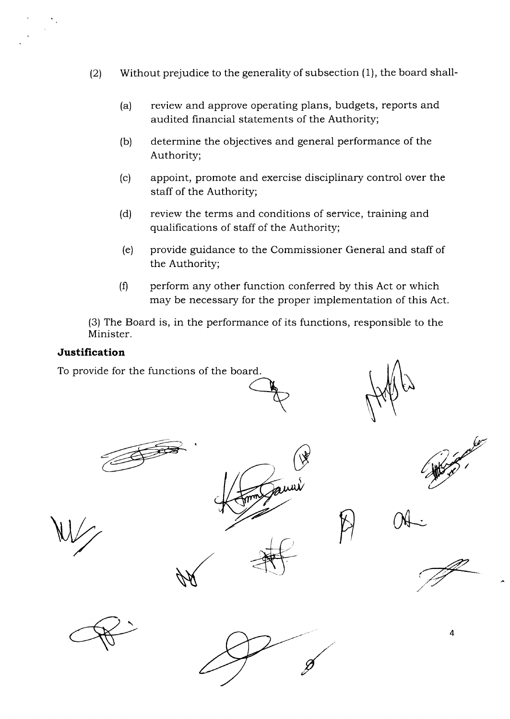- (2) Without prejudice to the generality of subsection (1), the board shall-
	- (a) review and approve operating plans, budgets, reports and audited financial statements of the Authority;
	- (b) determine the objectives and general performance of the Authority;
	- (c) appoint, promote and exercise disciplinary control over the staff of the Authority;
	- (d) review the terms and conditions of service, training and qualifications of staff of the Authority;
	- (e) provide guidance to the Commissioner General and staff of the Authority;
	- $(0)$  perform any other function conferred by this Act or which may be necessary for the proper implementation of this Act.

(3) The Board is, in the performance of its functions, responsible to the Minister.

## Justification

To provide for the functions of the board









 ${\mathcal O}$ 





4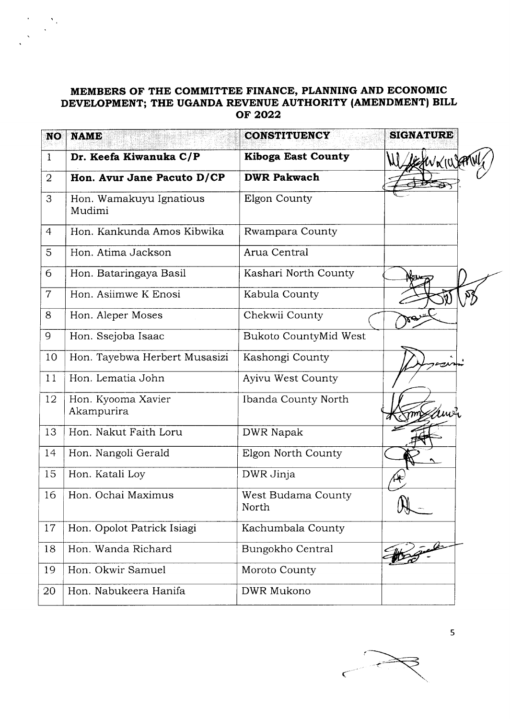## MEMBERS OF THE COMMITTEE FINANCE, PLANNING AND ECONOMIC DEVELOPMENT; THE UGANDA REVENUE AUTHORITY (AMENDMENT) BILL oF 2022

| <b>NO</b>      | <b>NAME</b>                       | <b>CONSTITUENCY</b>          | <b>SIGNATURE</b> |
|----------------|-----------------------------------|------------------------------|------------------|
| $\mathbf{1}$   | Dr. Keefa Kiwanuka C/P            | <b>Kiboga East County</b>    | KANKILA          |
| $\overline{2}$ | Hon. Avur Jane Pacuto D/CP        | <b>DWR Pakwach</b>           |                  |
| 3              | Hon. Wamakuyu Ignatious<br>Mudimi | Elgon County                 |                  |
| $\overline{4}$ | Hon. Kankunda Amos Kibwika        | Rwampara County              |                  |
| 5              | Hon. Atima Jackson                | Arua Central                 |                  |
| 6              | Hon. Bataringaya Basil            | Kashari North County         |                  |
| $\overline{7}$ | Hon. Asiimwe K Enosi              | Kabula County                |                  |
| 8              | Hon. Aleper Moses                 | Chekwii County               | Κe               |
| 9              | Hon. Ssejoba Isaac                | <b>Bukoto CountyMid West</b> |                  |
| 10             | Hon. Tayebwa Herbert Musasizi     | Kashongi County              |                  |
| 11             | Hon. Lematia John                 | Ayivu West County            |                  |
| 12             | Hon. Kyooma Xavier<br>Akampurira  | Ibanda County North          |                  |
| 13             | Hon. Nakut Faith Loru             | <b>DWR Napak</b>             |                  |
| 14             | Hon. Nangoli Gerald               | Elgon North County           |                  |
| 15             | Hon. Katali Loy                   | DWR Jinja                    |                  |
| 16             | Hon. Ochai Maximus                | West Budama County<br>North  | $\sqrt{2}$       |
| 17             | Hon. Opolot Patrick Isiagi        | Kachumbala County            |                  |
| 18             | Hon. Wanda Richard                | Bungokho Central             |                  |
| 19             | Hon. Okwir Samuel                 | Moroto County                |                  |
| 20             | Hon. Nabukeera Hanifa             | DWR Mukono                   |                  |



5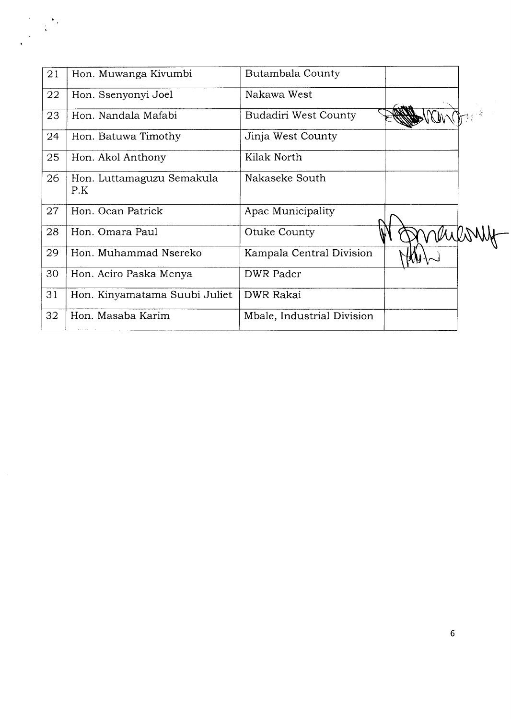| 21 | Hon. Muwanga Kivumbi             | <b>Butambala County</b>    |  |
|----|----------------------------------|----------------------------|--|
| 22 | Hon. Ssenyonyi Joel              | Nakawa West                |  |
| 23 | Hon. Nandala Mafabi              | Budadiri West County       |  |
| 24 | Hon. Batuwa Timothy              | Jinja West County          |  |
| 25 | Hon. Akol Anthony                | Kilak North                |  |
| 26 | Hon. Luttamaguzu Semakula<br>P.K | Nakaseke South             |  |
| 27 | Hon. Ocan Patrick                | Apac Municipality          |  |
| 28 | Hon. Omara Paul                  | Otuke County               |  |
| 29 | Hon. Muhammad Nsereko            | Kampala Central Division   |  |
| 30 | Hon. Aciro Paska Menya           | <b>DWR Pader</b>           |  |
| 31 | Hon. Kinyamatama Suubi Juliet    | <b>DWR Rakai</b>           |  |
| 32 | Hon. Masaba Karim                | Mbale, Industrial Division |  |
|    |                                  |                            |  |

 $\frac{1}{2} \sum_{i=1}^{N} \frac{1}{2} \sum_{j=1}^{N} \frac{1}{2} \sum_{j=1}^{N} \frac{1}{2} \sum_{j=1}^{N} \frac{1}{2} \sum_{j=1}^{N} \frac{1}{2} \sum_{j=1}^{N} \frac{1}{2} \sum_{j=1}^{N} \frac{1}{2} \sum_{j=1}^{N} \frac{1}{2} \sum_{j=1}^{N} \frac{1}{2} \sum_{j=1}^{N} \frac{1}{2} \sum_{j=1}^{N} \frac{1}{2} \sum_{j=1}^{N} \frac{1}{2} \sum_{j=1}^{N$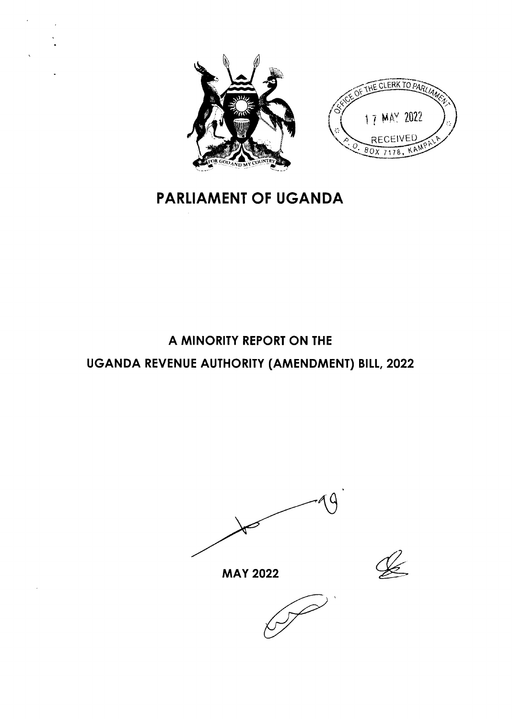



# **PARLIAMENT OF UGANDA**

# A MINORITY REPORT ON THE UGANDA REVENUE AUTHORITY (AMENDMENT) BILL, 2022

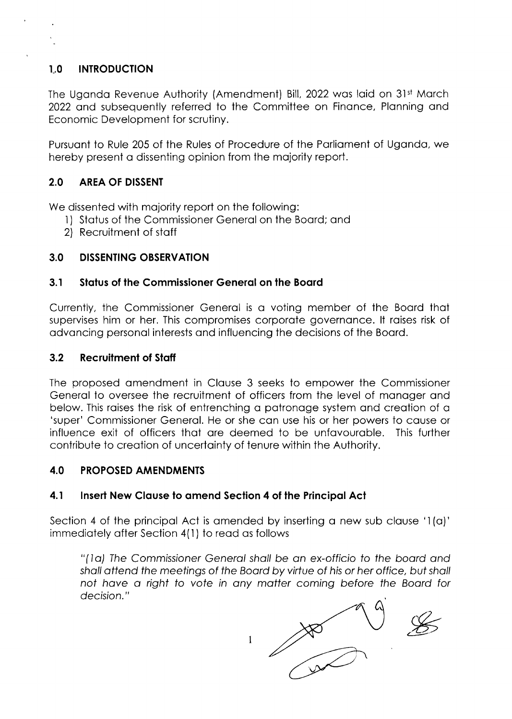### $1.0$ **INTRODUCTION**

The Uganda Revenue Authority (Amendment) Bill, 2022 was laid on 31st March 2022 and subsequently referred to the Committee on Finance, Planning and Economic Development for scrutiny.

Pursuant to Rule 205 of the Rules of Procedure of the Parliament of Uganda, we hereby present a dissenting opinion from the majority report.

### $2.0$ **AREA OF DISSENT**

We dissented with majority report on the following:

- 1) Status of the Commissioner General on the Board; and
- 2) Recruitment of staff

### $3.0$ **DISSENTING OBSERVATION**

### $3.1$ Status of the Commissioner General on the Board

Currently, the Commissioner General is a voting member of the Board that supervises him or her. This compromises corporate governance. It raises risk of advancing personal interests and influencing the decisions of the Board.

### $3.2$ **Recruitment of Staff**

The proposed amendment in Clause 3 seeks to empower the Commissioner General to oversee the recruitment of officers from the level of manager and below. This raises the risk of entrenching a patronage system and creation of a 'super' Commissioner General. He or she can use his or her powers to cause or influence exit of officers that are deemed to be unfavourable. This further contribute to creation of uncertainty of tenure within the Authority.

### $4.0$ **PROPOSED AMENDMENTS**

### $4.1$ Insert New Clause to amend Section 4 of the Principal Act

Section 4 of the principal Act is amended by inserting a new sub clause '1(a)' immediately after Section 4(1) to read as follows

"(Ia) The Commissioner General shall be an ex-officio to the board and shall attend the meetings of the Board by virtue of his or her office, but shall not have a right to vote in any matter coming before the Board for decision."

 $\frac{1}{100}$ 

 $\mathbf{1}$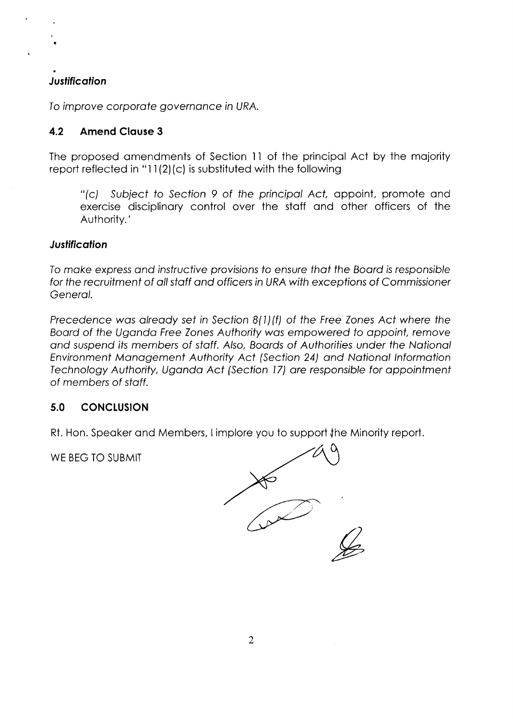# **Justification**

I

To improve corporate governance in URA.

## 4.2 Amend Clause 3

The proposed omendments of Section ll of the principol Act by the mojority report reflected in "11(2)(c) is substituted with the following

"(c) Subiect fo Section 9 of the principol Act, oppoint, promote ond exercise disciplinory control over the stoff ond other officers of the Authority.'

## **Justification**

fo moke express ond instrucfive provisions fo ensure thot the Boord is responsib/e for the recruitment of all staff and officers in URA with exceptions of Commissioner Genero/.

Precedence was already set in Section 8(1)(f) of the Free Zones Act where the Boord of the Ugondo Free Zones Authority wos empowered to oppoint, remove and suspend its members of staff. Also, Boards of Authorities under the National Environment Monogement Authority Act (Secfion 24) ond Notionol lnformotion Technology Authority, Ugondo Act (Secfion l7) are responsible for oppointmenf of members of sfoff.

# 5.0 CONCLUSION

Rt. Hon. Speaker and Members, I implore you to support the Minority report.

WE BEG TO SUBMIT